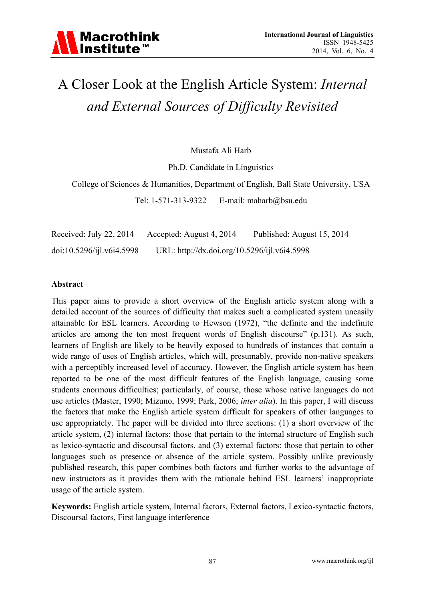## A Closer Look at the English Article System: *Internal and External Sources of Difficulty Revisited*

Mustafa Ali Harb

Ph.D. Candidate in Linguistics

College of Sciences & Humanities, Department of English, Ball State University, USA

Tel: 1-571-313-9322 E-mail: maharb@bsu.edu

Received: July 22, 2014 Accepted: August 4, 2014 Published: August 15, 2014 doi:10.5296/ijl.v6i4.5998 URL: http://dx.doi.org/10.5296/ijl.v6i4.5998

#### **Abstract**

This paper aims to provide a short overview of the English article system along with a detailed account of the sources of difficulty that makes such a complicated system uneasily attainable for ESL learners. According to Hewson (1972), "the definite and the indefinite articles are among the ten most frequent words of English discourse" (p.131). As such, learners of English are likely to be heavily exposed to hundreds of instances that contain a wide range of uses of English articles, which will, presumably, provide non-native speakers with a perceptibly increased level of accuracy. However, the English article system has been reported to be one of the most difficult features of the English language, causing some students enormous difficulties; particularly, of course, those whose native languages do not use articles (Master, 1990; Mizuno, 1999; Park, 2006; *inter alia*). In this paper, I will discuss the factors that make the English article system difficult for speakers of other languages to use appropriately. The paper will be divided into three sections: (1) a short overview of the article system, (2) internal factors: those that pertain to the internal structure of English such as lexico-syntactic and discoursal factors, and (3) external factors: those that pertain to other languages such as presence or absence of the article system. Possibly unlike previously published research, this paper combines both factors and further works to the advantage of new instructors as it provides them with the rationale behind ESL learners' inappropriate usage of the article system.

**Keywords:** English article system, Internal factors, External factors, Lexico-syntactic factors, Discoursal factors, First language interference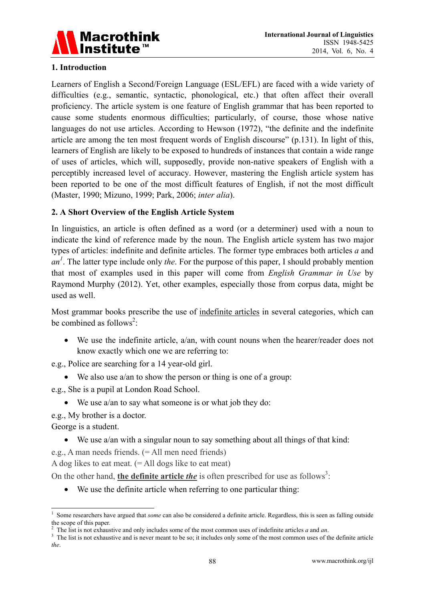

#### **1. Introduction**

Learners of English a Second/Foreign Language (ESL/EFL) are faced with a wide variety of difficulties (e.g., semantic, syntactic, phonological, etc.) that often affect their overall proficiency. The article system is one feature of English grammar that has been reported to cause some students enormous difficulties; particularly, of course, those whose native languages do not use articles. According to Hewson (1972), "the definite and the indefinite article are among the ten most frequent words of English discourse" (p.131). In light of this, learners of English are likely to be exposed to hundreds of instances that contain a wide range of uses of articles, which will, supposedly, provide non-native speakers of English with a perceptibly increased level of accuracy. However, mastering the English article system has been reported to be one of the most difficult features of English, if not the most difficult (Master, 1990; Mizuno, 1999; Park, 2006; *inter alia*).

#### **2. A Short Overview of the English Article System**

In linguistics, an article is often defined as a word (or a determiner) used with a noun to indicate the kind of reference made by the noun. The English article system has two major types of articles: indefinite and definite articles. The former type embraces both articles *a* and  $an^l$ . The latter type include only *the*. For the purpose of this paper, I should probably mention that most of examples used in this paper will come from *English Grammar in Use* by Raymond Murphy (2012). Yet, other examples, especially those from corpus data, might be used as well.

Most grammar books prescribe the use of indefinite articles in several categories, which can be combined as follows<sup>2</sup>:

 We use the indefinite article, a/an, with count nouns when the hearer/reader does not know exactly which one we are referring to:

e.g., Police are searching for a 14 year-old girl.

- We also use a/an to show the person or thing is one of a group:
- e.g., She is a pupil at London Road School.
	- We use a/an to say what someone is or what job they do:
- e.g., My brother is a doctor.

George is a student.

<u>.</u>

- We use a/an with a singular noun to say something about all things of that kind:
- e.g., A man needs friends. (= All men need friends)

A dog likes to eat meat.  $(=$  All dogs like to eat meat)

On the other hand, **the definite article** *the* is often prescribed for use as follows<sup>3</sup>:

We use the definite article when referring to one particular thing:

<sup>1</sup> Some researchers have argued that *some* can also be considered a definite article. Regardless, this is seen as falling outside the scope of this paper.<br>
<sup>2</sup> The list is not exhaustive and only includes some of the most common uses of indefinite articles *a* and *an*.<br>
<sup>3</sup> The list is not exhaustive and is now meant to be so; it includes only some

<sup>&</sup>lt;sup>3</sup> The list is not exhaustive and is never meant to be so; it includes only some of the most common uses of the definite article *the*.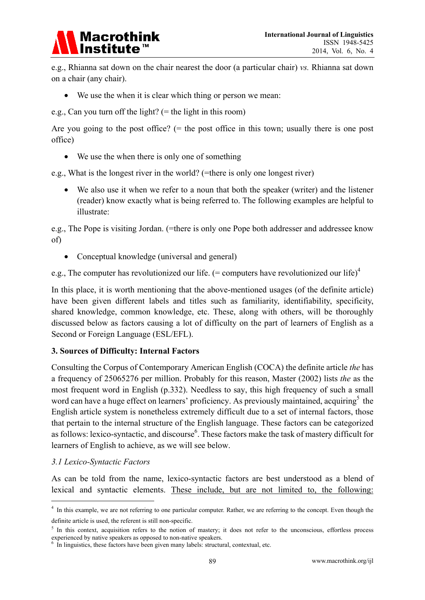

e.g., Rhianna sat down on the chair nearest the door (a particular chair) *vs.* Rhianna sat down on a chair (any chair).

We use the when it is clear which thing or person we mean:

e.g., Can you turn off the light? (= the light in this room)

Are you going to the post office? ( $=$  the post office in this town; usually there is one post office)

• We use the when there is only one of something

e.g., What is the longest river in the world? (=there is only one longest river)

 We also use it when we refer to a noun that both the speaker (writer) and the listener (reader) know exactly what is being referred to. The following examples are helpful to illustrate:

e.g., The Pope is visiting Jordan. (=there is only one Pope both addresser and addressee know of)

Conceptual knowledge (universal and general)

e.g., The computer has revolutionized our life.  $(=$  computers have revolutionized our life)<sup>4</sup>

In this place, it is worth mentioning that the above-mentioned usages (of the definite article) have been given different labels and titles such as familiarity, identifiability, specificity, shared knowledge, common knowledge, etc. These, along with others, will be thoroughly discussed below as factors causing a lot of difficulty on the part of learners of English as a Second or Foreign Language (ESL/EFL).

#### **3. Sources of Difficulty: Internal Factors**

Consulting the Corpus of Contemporary American English (COCA) the definite article *the* has a frequency of 25065276 per million. Probably for this reason, Master (2002) lists *the* as the most frequent word in English (p.332). Needless to say, this high frequency of such a small word can have a huge effect on learners' proficiency. As previously maintained, acquiring<sup>5</sup> the English article system is nonetheless extremely difficult due to a set of internal factors, those that pertain to the internal structure of the English language. These factors can be categorized as follows: lexico-syntactic, and discourse<sup>6</sup>. These factors make the task of mastery difficult for learners of English to achieve, as we will see below.

#### *3.1 Lexico-Syntactic Factors*

<u>.</u>

As can be told from the name, lexico-syntactic factors are best understood as a blend of lexical and syntactic elements. These include, but are not limited to, the following:

<sup>&</sup>lt;sup>4</sup> In this example, we are not referring to one particular computer. Rather, we are referring to the concept. Even though the definite article is used, the referent is still non-specific.

 $<sup>5</sup>$  In this context, acquisition refers to the notion of mastery; it does not refer to the unconscious, effortless process</sup> experienced by native speakers as opposed to non-native speakers.

 $6$  In linguistics, these factors have been given many labels: structural, contextual, etc.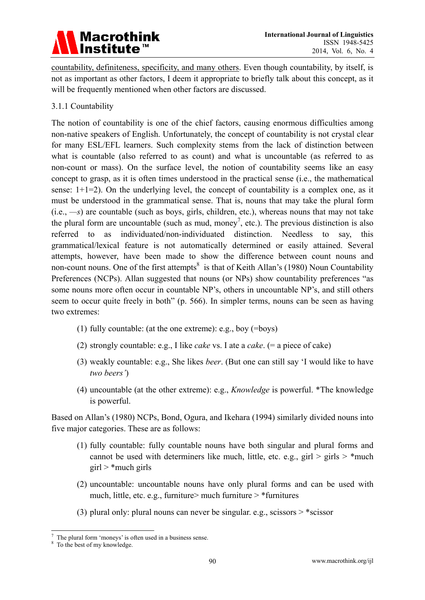# Macrothink<br>Institute™

countability, definiteness, specificity, and many others. Even though countability, by itself, is not as important as other factors, I deem it appropriate to briefly talk about this concept, as it will be frequently mentioned when other factors are discussed.

#### 3.1.1 Countability

The notion of countability is one of the chief factors, causing enormous difficulties among non-native speakers of English. Unfortunately, the concept of countability is not crystal clear for many ESL/EFL learners. Such complexity stems from the lack of distinction between what is countable (also referred to as count) and what is uncountable (as referred to as non-count or mass). On the surface level, the notion of countability seems like an easy concept to grasp, as it is often times understood in the practical sense (i.e., the mathematical sense:  $1+1=2$ ). On the underlying level, the concept of countability is a complex one, as it must be understood in the grammatical sense. That is, nouns that may take the plural form (i.e., *—s*) are countable (such as boys, girls, children, etc.), whereas nouns that may not take the plural form are uncountable (such as mud, money<sup>7</sup>, etc.). The previous distinction is also referred to as individuated/non-individuated distinction. Needless to say, this grammatical/lexical feature is not automatically determined or easily attained. Several attempts, however, have been made to show the difference between count nouns and non-count nouns. One of the first attempts<sup>8</sup> is that of Keith Allan's (1980) Noun Countability Preferences (NCPs). Allan suggested that nouns (or NPs) show countability preferences "as some nouns more often occur in countable NP's, others in uncountable NP's, and still others seem to occur quite freely in both" (p. 566). In simpler terms, nouns can be seen as having two extremes:

- (1) fully countable: (at the one extreme): e.g., boy (=boys)
- (2) strongly countable: e.g., I like *cake* vs. I ate a *cake*. (= a piece of cake)
- (3) weakly countable: e.g., She likes *beer*. (But one can still say 'I would like to have *two beers'*)
- (4) uncountable (at the other extreme): e.g., *Knowledge* is powerful. \*The knowledge is powerful.

Based on Allan's (1980) NCPs, Bond, Ogura, and Ikehara (1994) similarly divided nouns into five major categories. These are as follows:

- (1) fully countable: fully countable nouns have both singular and plural forms and cannot be used with determiners like much, little, etc. e.g., girl  $>$  girls  $>$  \*much  $girl$  \* much girls
- (2) uncountable: uncountable nouns have only plural forms and can be used with much, little, etc. e.g., furniture > much furniture >  $*$  furnitures
- (3) plural only: plural nouns can never be singular. e.g., scissors  $>$  \*scissor

<sup>&</sup>lt;u>.</u> The plural form 'moneys' is often used in a business sense.

<sup>&</sup>lt;sup>8</sup> To the best of my knowledge.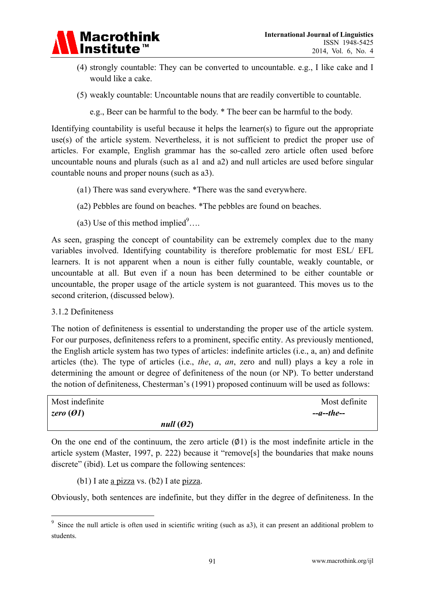

- (4) strongly countable: They can be converted to uncountable. e.g., I like cake and I would like a cake.
- (5) weakly countable: Uncountable nouns that are readily convertible to countable.

e.g., Beer can be harmful to the body. \* The beer can be harmful to the body.

Identifying countability is useful because it helps the learner(s) to figure out the appropriate use(s) of the article system. Nevertheless, it is not sufficient to predict the proper use of articles. For example, English grammar has the so-called zero article often used before uncountable nouns and plurals (such as a1 and a2) and null articles are used before singular countable nouns and proper nouns (such as a3).

- (a1) There was sand everywhere. \*There was the sand everywhere.
- (a2) Pebbles are found on beaches. \*The pebbles are found on beaches.
- (a3) Use of this method implied  $9...$

As seen, grasping the concept of countability can be extremely complex due to the many variables involved. Identifying countability is therefore problematic for most ESL/ EFL learners. It is not apparent when a noun is either fully countable, weakly countable, or uncountable at all. But even if a noun has been determined to be either countable or uncountable, the proper usage of the article system is not guaranteed. This moves us to the second criterion, (discussed below).

3.1.2 Definiteness

-

The notion of definiteness is essential to understanding the proper use of the article system. For our purposes, definiteness refers to a prominent, specific entity. As previously mentioned, the English article system has two types of articles: indefinite articles (i.e., a, an) and definite articles (the). The type of articles (i.e., *the*, *a*, *an*, zero and null) plays a key a role in determining the amount or degree of definiteness of the noun (or NP). To better understand the notion of definiteness, Chesterman's (1991) proposed continuum will be used as follows:

| Most indefinite | Most definite |
|-----------------|---------------|
| zero $(ØI)$     | $-a$ --the--  |
|                 | null $(02)$   |

On the one end of the continuum, the zero article  $(Ø1)$  is the most indefinite article in the article system (Master, 1997, p. 222) because it "remove[s] the boundaries that make nouns discrete" (ibid). Let us compare the following sentences:

(b1) I ate a pizza vs. (b2) I ate pizza.

Obviously, both sentences are indefinite, but they differ in the degree of definiteness. In the

<sup>&</sup>lt;sup>9</sup> Since the null article is often used in scientific writing (such as a3), it can present an additional problem to students.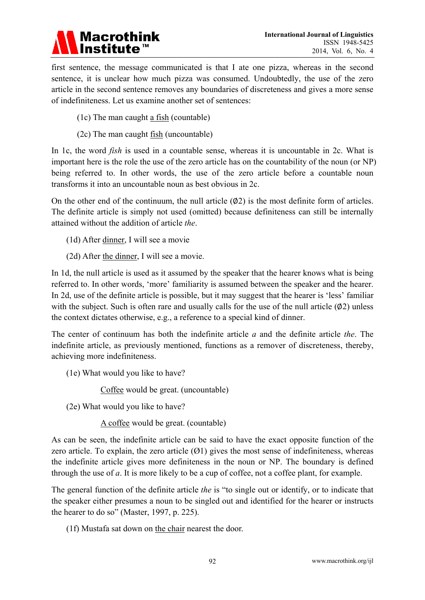### **Macrothink Institute**

first sentence, the message communicated is that I ate one pizza, whereas in the second sentence, it is unclear how much pizza was consumed. Undoubtedly, the use of the zero article in the second sentence removes any boundaries of discreteness and gives a more sense of indefiniteness. Let us examine another set of sentences:

- (1c) The man caught a fish (countable)
- (2c) The man caught fish (uncountable)

In 1c, the word *fish* is used in a countable sense, whereas it is uncountable in 2c. What is important here is the role the use of the zero article has on the countability of the noun (or NP) being referred to. In other words, the use of the zero article before a countable noun transforms it into an uncountable noun as best obvious in 2c.

On the other end of the continuum, the null article  $(\emptyset 2)$  is the most definite form of articles. The definite article is simply not used (omitted) because definiteness can still be internally attained without the addition of article *the*.

(1d) After dinner, I will see a movie

(2d) After the dinner, I will see a movie.

In 1d, the null article is used as it assumed by the speaker that the hearer knows what is being referred to. In other words, 'more' familiarity is assumed between the speaker and the hearer. In 2d, use of the definite article is possible, but it may suggest that the hearer is 'less' familiar with the subject. Such is often rare and usually calls for the use of the null article  $(\emptyset 2)$  unless the context dictates otherwise, e.g., a reference to a special kind of dinner.

The center of continuum has both the indefinite article *a* and the definite article *the*. The indefinite article, as previously mentioned, functions as a remover of discreteness, thereby, achieving more indefiniteness.

(1e) What would you like to have?

Coffee would be great. (uncountable)

(2e) What would you like to have?

A coffee would be great. (countable)

As can be seen, the indefinite article can be said to have the exact opposite function of the zero article. To explain, the zero article  $(Ø1)$  gives the most sense of indefiniteness, whereas the indefinite article gives more definiteness in the noun or NP. The boundary is defined through the use of *a*. It is more likely to be a cup of coffee, not a coffee plant, for example.

The general function of the definite article *the* is "to single out or identify, or to indicate that the speaker either presumes a noun to be singled out and identified for the hearer or instructs the hearer to do so" (Master, 1997, p. 225).

(1f) Mustafa sat down on the chair nearest the door.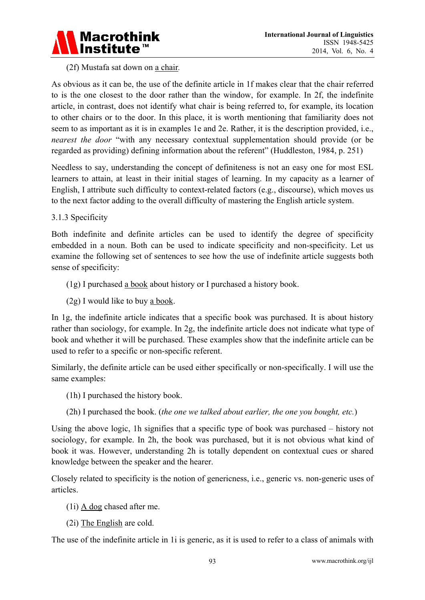

#### (2f) Mustafa sat down on a chair*.*

As obvious as it can be, the use of the definite article in 1f makes clear that the chair referred to is the one closest to the door rather than the window, for example. In 2f, the indefinite article, in contrast, does not identify what chair is being referred to, for example, its location to other chairs or to the door. In this place, it is worth mentioning that familiarity does not seem to as important as it is in examples 1e and 2e. Rather, it is the description provided, i.e., *nearest the door* "with any necessary contextual supplementation should provide (or be regarded as providing) defining information about the referent" (Huddleston, 1984, p. 251)

Needless to say, understanding the concept of definiteness is not an easy one for most ESL learners to attain, at least in their initial stages of learning. In my capacity as a learner of English, I attribute such difficulty to context-related factors (e.g., discourse), which moves us to the next factor adding to the overall difficulty of mastering the English article system.

#### 3.1.3 Specificity

Both indefinite and definite articles can be used to identify the degree of specificity embedded in a noun. Both can be used to indicate specificity and non-specificity. Let us examine the following set of sentences to see how the use of indefinite article suggests both sense of specificity:

- (1g) I purchased a book about history or I purchased a history book.
- (2g) I would like to buy a book.

In 1g, the indefinite article indicates that a specific book was purchased. It is about history rather than sociology, for example. In 2g, the indefinite article does not indicate what type of book and whether it will be purchased. These examples show that the indefinite article can be used to refer to a specific or non-specific referent.

Similarly, the definite article can be used either specifically or non-specifically. I will use the same examples:

- (1h) I purchased the history book.
- (2h) I purchased the book. (*the one we talked about earlier, the one you bought, etc.*)

Using the above logic, 1h signifies that a specific type of book was purchased – history not sociology, for example. In 2h, the book was purchased, but it is not obvious what kind of book it was. However, understanding 2h is totally dependent on contextual cues or shared knowledge between the speaker and the hearer.

Closely related to specificity is the notion of genericness, i.e., generic vs. non-generic uses of articles.

- (1i) A dog chased after me.
- (2i) The English are cold.

The use of the indefinite article in 1i is generic, as it is used to refer to a class of animals with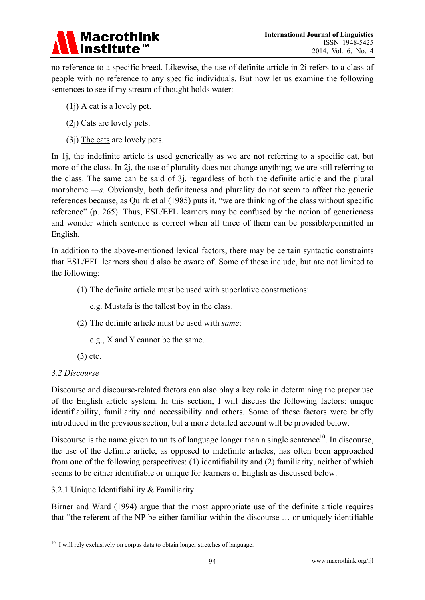

no reference to a specific breed. Likewise, the use of definite article in 2i refers to a class of people with no reference to any specific individuals. But now let us examine the following sentences to see if my stream of thought holds water:

- (1j) A cat is a lovely pet.
- (2j) Cats are lovely pets.
- $(3j)$  The cats are lovely pets.

In 1. the indefinite article is used generically as we are not referring to a specific cat, but more of the class. In 2j, the use of plurality does not change anything; we are still referring to the class. The same can be said of 3j, regardless of both the definite article and the plural morpheme —*s*. Obviously, both definiteness and plurality do not seem to affect the generic references because, as Quirk et al (1985) puts it, "we are thinking of the class without specific reference" (p. 265). Thus, ESL/EFL learners may be confused by the notion of genericness and wonder which sentence is correct when all three of them can be possible/permitted in English.

In addition to the above-mentioned lexical factors, there may be certain syntactic constraints that ESL/EFL learners should also be aware of. Some of these include, but are not limited to the following:

- (1) The definite article must be used with superlative constructions:
	- e.g. Mustafa is the tallest boy in the class.
- (2) The definite article must be used with *same*:

e.g., X and Y cannot be the same.

(3) etc.

#### *3.2 Discourse*

Discourse and discourse-related factors can also play a key role in determining the proper use of the English article system. In this section, I will discuss the following factors: unique identifiability, familiarity and accessibility and others. Some of these factors were briefly introduced in the previous section, but a more detailed account will be provided below.

Discourse is the name given to units of language longer than a single sentence $10$ . In discourse, the use of the definite article, as opposed to indefinite articles, has often been approached from one of the following perspectives: (1) identifiability and (2) familiarity, neither of which seems to be either identifiable or unique for learners of English as discussed below.

3.2.1 Unique Identifiability & Familiarity

Birner and Ward (1994) argue that the most appropriate use of the definite article requires that "the referent of the NP be either familiar within the discourse … or uniquely identifiable

<sup>-</sup> $10$  I will rely exclusively on corpus data to obtain longer stretches of language.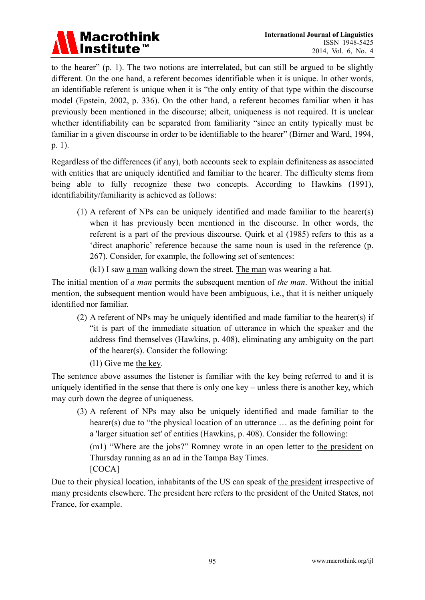

to the hearer" (p. 1). The two notions are interrelated, but can still be argued to be slightly different. On the one hand, a referent becomes identifiable when it is unique. In other words, an identifiable referent is unique when it is "the only entity of that type within the discourse model (Epstein, 2002, p. 336). On the other hand, a referent becomes familiar when it has previously been mentioned in the discourse; albeit, uniqueness is not required. It is unclear whether identifiability can be separated from familiarity "since an entity typically must be familiar in a given discourse in order to be identifiable to the hearer" (Birner and Ward, 1994, p. 1).

Regardless of the differences (if any), both accounts seek to explain definiteness as associated with entities that are uniquely identified and familiar to the hearer. The difficulty stems from being able to fully recognize these two concepts. According to Hawkins (1991), identifiability/familiarity is achieved as follows:

- (1) A referent of NPs can be uniquely identified and made familiar to the hearer(s) when it has previously been mentioned in the discourse. In other words, the referent is a part of the previous discourse. Quirk et al (1985) refers to this as a 'direct anaphoric' reference because the same noun is used in the reference (p. 267). Consider, for example, the following set of sentences:
	- (k1) I saw a man walking down the street. The man was wearing a hat.

The initial mention of *a man* permits the subsequent mention of *the man*. Without the initial mention, the subsequent mention would have been ambiguous, i.e., that it is neither uniquely identified nor familiar.

- (2) A referent of NPs may be uniquely identified and made familiar to the hearer(s) if "it is part of the immediate situation of utterance in which the speaker and the address find themselves (Hawkins, p. 408), eliminating any ambiguity on the part of the hearer(s). Consider the following:
	- (l1) Give me the key.

The sentence above assumes the listener is familiar with the key being referred to and it is uniquely identified in the sense that there is only one key – unless there is another key, which may curb down the degree of uniqueness.

(3) A referent of NPs may also be uniquely identified and made familiar to the hearer(s) due to "the physical location of an utterance ... as the defining point for a 'larger situation set' of entities (Hawkins, p. 408). Consider the following: (m1) "Where are the jobs?" Romney wrote in an open letter to the president on

Thursday running as an ad in the Tampa Bay Times. [COCA]

Due to their physical location, inhabitants of the US can speak of the president irrespective of many presidents elsewhere. The president here refers to the president of the United States, not France, for example.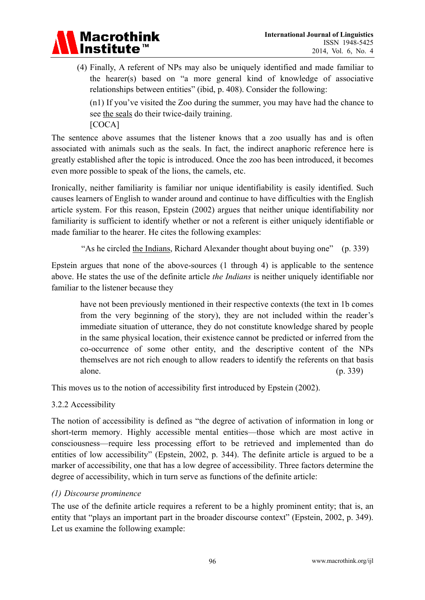

(4) Finally, A referent of NPs may also be uniquely identified and made familiar to the hearer(s) based on "a more general kind of knowledge of associative relationships between entities" (ibid, p. 408). Consider the following:

(n1) If you've visited the Zoo during the summer, you may have had the chance to see the seals do their twice-daily training.

[COCA]

The sentence above assumes that the listener knows that a zoo usually has and is often associated with animals such as the seals. In fact, the indirect anaphoric reference here is greatly established after the topic is introduced. Once the zoo has been introduced, it becomes even more possible to speak of the lions, the camels, etc.

Ironically, neither familiarity is familiar nor unique identifiability is easily identified. Such causes learners of English to wander around and continue to have difficulties with the English article system. For this reason, Epstein (2002) argues that neither unique identifiability nor familiarity is sufficient to identify whether or not a referent is either uniquely identifiable or made familiar to the hearer. He cites the following examples:

"As he circled the Indians, Richard Alexander thought about buying one" (p. 339)

Epstein argues that none of the above-sources (1 through 4) is applicable to the sentence above. He states the use of the definite article *the Indians* is neither uniquely identifiable nor familiar to the listener because they

have not been previously mentioned in their respective contexts (the text in 1b comes from the very beginning of the story), they are not included within the reader's immediate situation of utterance, they do not constitute knowledge shared by people in the same physical location, their existence cannot be predicted or inferred from the co-occurrence of some other entity, and the descriptive content of the NPs themselves are not rich enough to allow readers to identify the referents on that basis alone. (p. 339)

This moves us to the notion of accessibility first introduced by Epstein (2002).

3.2.2 Accessibility

The notion of accessibility is defined as "the degree of activation of information in long or short-term memory. Highly accessible mental entities—those which are most active in consciousness—require less processing effort to be retrieved and implemented than do entities of low accessibility" (Epstein, 2002, p. 344). The definite article is argued to be a marker of accessibility, one that has a low degree of accessibility. Three factors determine the degree of accessibility, which in turn serve as functions of the definite article:

#### *(1) Discourse prominence*

The use of the definite article requires a referent to be a highly prominent entity; that is, an entity that "plays an important part in the broader discourse context" (Epstein, 2002, p. 349). Let us examine the following example: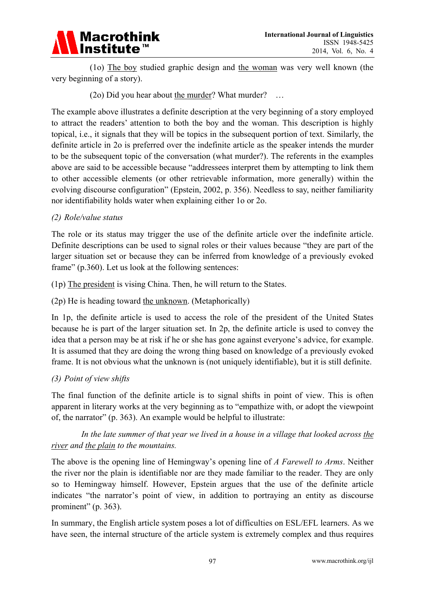

 (1o) The boy studied graphic design and the woman was very well known (the very beginning of a story).

(2o) Did you hear about the murder? What murder? …

The example above illustrates a definite description at the very beginning of a story employed to attract the readers' attention to both the boy and the woman. This description is highly topical, i.e., it signals that they will be topics in the subsequent portion of text. Similarly, the definite article in 2o is preferred over the indefinite article as the speaker intends the murder to be the subsequent topic of the conversation (what murder?). The referents in the examples above are said to be accessible because "addressees interpret them by attempting to link them to other accessible elements (or other retrievable information, more generally) within the evolving discourse configuration" (Epstein, 2002, p. 356). Needless to say, neither familiarity nor identifiability holds water when explaining either 1o or 2o.

#### *(2) Role/value status*

The role or its status may trigger the use of the definite article over the indefinite article. Definite descriptions can be used to signal roles or their values because "they are part of the larger situation set or because they can be inferred from knowledge of a previously evoked frame" (p.360). Let us look at the following sentences:

(1p) The president is vising China. Then, he will return to the States.

(2p) He is heading toward the unknown. (Metaphorically)

In 1p, the definite article is used to access the role of the president of the United States because he is part of the larger situation set. In 2p, the definite article is used to convey the idea that a person may be at risk if he or she has gone against everyone's advice, for example. It is assumed that they are doing the wrong thing based on knowledge of a previously evoked frame. It is not obvious what the unknown is (not uniquely identifiable), but it is still definite.

#### *(3) Point of view shifts*

The final function of the definite article is to signal shifts in point of view. This is often apparent in literary works at the very beginning as to "empathize with, or adopt the viewpoint of, the narrator" (p. 363). An example would be helpful to illustrate:

 *In the late summer of that year we lived in a house in a village that looked across the river and the plain to the mountains.* 

The above is the opening line of Hemingway's opening line of *A Farewell to Arms*. Neither the river nor the plain is identifiable nor are they made familiar to the reader. They are only so to Hemingway himself. However, Epstein argues that the use of the definite article indicates "the narrator's point of view, in addition to portraying an entity as discourse prominent" (p. 363).

In summary, the English article system poses a lot of difficulties on ESL/EFL learners. As we have seen, the internal structure of the article system is extremely complex and thus requires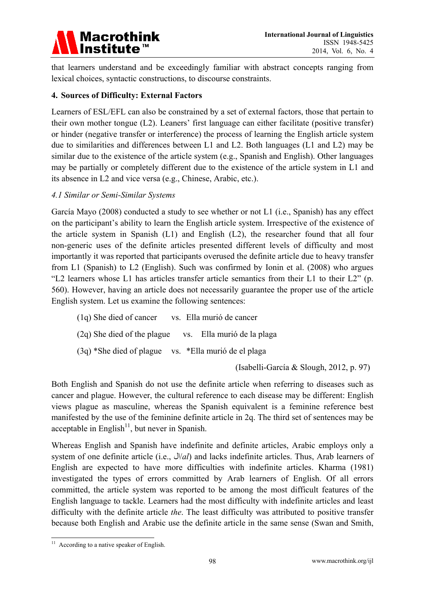

that learners understand and be exceedingly familiar with abstract concepts ranging from lexical choices, syntactic constructions, to discourse constraints.

#### **4. Sources of Difficulty: External Factors**

Learners of ESL/EFL can also be constrained by a set of external factors, those that pertain to their own mother tongue (L2). Leaners' first language can either facilitate (positive transfer) or hinder (negative transfer or interference) the process of learning the English article system due to similarities and differences between L1 and L2. Both languages (L1 and L2) may be similar due to the existence of the article system (e.g., Spanish and English). Other languages may be partially or completely different due to the existence of the article system in L1 and its absence in L2 and vice versa (e.g., Chinese, Arabic, etc.).

#### *4.1 Similar or Semi-Similar Systems*

García Mayo (2008) conducted a study to see whether or not L1 (i.e., Spanish) has any effect on the participant's ability to learn the English article system. Irrespective of the existence of the article system in Spanish (L1) and English (L2), the researcher found that all four non-generic uses of the definite articles presented different levels of difficulty and most importantly it was reported that participants overused the definite article due to heavy transfer from L1 (Spanish) to L2 (English). Such was confirmed by Ionin et al. (2008) who argues "L2 learners whose L1 has articles transfer article semantics from their L1 to their L2" (p. 560). However, having an article does not necessarily guarantee the proper use of the article English system. Let us examine the following sentences:

(1q) She died of cancer vs. Ella murió de cancer (2q) She died of the plague vs. Ella murió de la plaga (3q) \*She died of plague vs. \*Ella murió de el plaga

(Isabelli-García & Slough, 2012, p. 97)

Both English and Spanish do not use the definite article when referring to diseases such as cancer and plague. However, the cultural reference to each disease may be different: English views plague as masculine, whereas the Spanish equivalent is a feminine reference best manifested by the use of the feminine definite article in 2q. The third set of sentences may be acceptable in English<sup>11</sup>, but never in Spanish.

Whereas English and Spanish have indefinite and definite articles, Arabic employs only a system of one definite article (i.e., ال/*al*) and lacks indefinite articles. Thus, Arab learners of English are expected to have more difficulties with indefinite articles. Kharma (1981) investigated the types of errors committed by Arab learners of English. Of all errors committed, the article system was reported to be among the most difficult features of the English language to tackle. Learners had the most difficulty with indefinite articles and least difficulty with the definite article *the*. The least difficulty was attributed to positive transfer because both English and Arabic use the definite article in the same sense (Swan and Smith,

<sup>-</sup> $11$  According to a native speaker of English.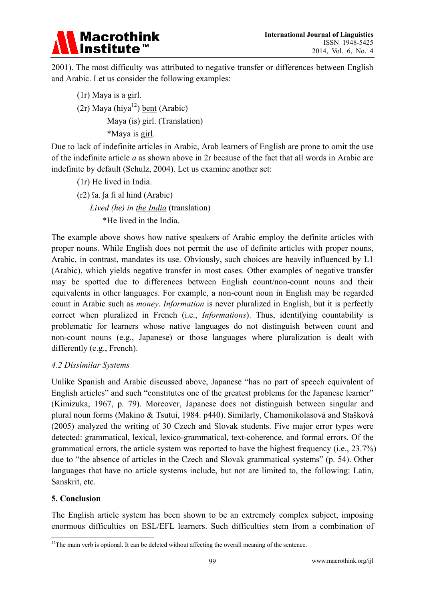

2001). The most difficulty was attributed to negative transfer or differences between English and Arabic. Let us consider the following examples:

(1r) Maya is a girl. (2r) Maya (hiya<sup>12</sup>) <u>bent</u> (Arabic) Maya (is) girl. (Translation) \*Maya is girl.

Due to lack of indefinite articles in Arabic, Arab learners of English are prone to omit the use of the indefinite article *a* as shown above in 2r because of the fact that all words in Arabic are indefinite by default (Schulz, 2004). Let us examine another set:

- (1r) He lived in India.
- (r2) ʕa. ʃa fi al hind (Arabic) *Lived (he) in the India* (translation) \*He lived in the India.

The example above shows how native speakers of Arabic employ the definite articles with proper nouns. While English does not permit the use of definite articles with proper nouns, Arabic, in contrast, mandates its use. Obviously, such choices are heavily influenced by L1 (Arabic), which yields negative transfer in most cases. Other examples of negative transfer may be spotted due to differences between English count/non-count nouns and their equivalents in other languages. For example, a non-count noun in English may be regarded count in Arabic such as *money*. *Information* is never pluralized in English, but it is perfectly correct when pluralized in French (i.e., *Informations*). Thus, identifying countability is problematic for learners whose native languages do not distinguish between count and non-count nouns (e.g., Japanese) or those languages where pluralization is dealt with differently (e.g., French).

#### *4.2 Dissimilar Systems*

Unlike Spanish and Arabic discussed above, Japanese "has no part of speech equivalent of English articles" and such "constitutes one of the greatest problems for the Japanese learner" (Kimizuka, 1967, p. 79). Moreover, Japanese does not distinguish between singular and plural noun forms (Makino & Tsutui, 1984. p440). Similarly, Chamonikolasová and Stašková (2005) analyzed the writing of 30 Czech and Slovak students. Five major error types were detected: grammatical, lexical, lexico-grammatical, text-coherence, and formal errors. Of the grammatical errors, the article system was reported to have the highest frequency (i.e., 23.7%) due to "the absence of articles in the Czech and Slovak grammatical systems" (p. 54). Other languages that have no article systems include, but not are limited to, the following: Latin, Sanskrit, etc.

#### **5. Conclusion**

The English article system has been shown to be an extremely complex subject, imposing enormous difficulties on ESL/EFL learners. Such difficulties stem from a combination of

<sup>-</sup> $12$ The main verb is optional. It can be deleted without affecting the overall meaning of the sentence.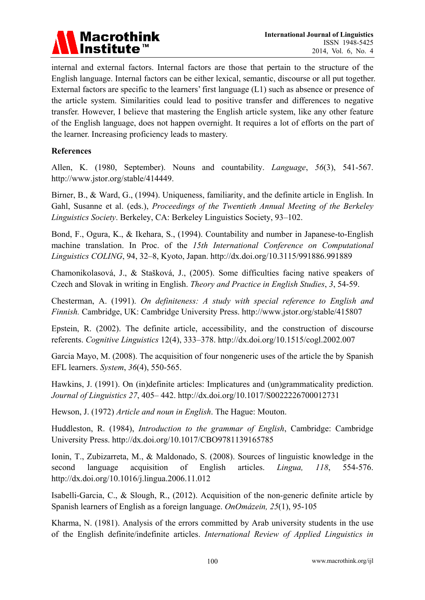

internal and external factors. Internal factors are those that pertain to the structure of the English language. Internal factors can be either lexical, semantic, discourse or all put together. External factors are specific to the learners' first language (L1) such as absence or presence of the article system. Similarities could lead to positive transfer and differences to negative transfer. However, I believe that mastering the English article system, like any other feature of the English language, does not happen overnight. It requires a lot of efforts on the part of the learner. Increasing proficiency leads to mastery.

#### **References**

Allen, K. (1980, September). Nouns and countability. *Language*, *56*(3), 541-567. http://www.jstor.org/stable/414449.

Birner, B., & Ward, G., (1994). Uniqueness, familiarity, and the definite article in English. In Gahl, Susanne et al. (eds.), *Proceedings of the Twentieth Annual Meeting of the Berkeley Linguistics Society*. Berkeley, CA: Berkeley Linguistics Society, 93–102.

Bond, F., Ogura, K., & Ikehara, S., (1994). Countability and number in Japanese-to-English machine translation. In Proc. of the *15th International Conference on Computational Linguistics COLING*, 94, 32–8, Kyoto, Japan. http://dx.doi.org/10.3115/991886.991889

Chamonikolasová, J., & Stašková, J., (2005). Some difficulties facing native speakers of Czech and Slovak in writing in English. *Theory and Practice in English Studies*, *3*, 54-59.

Chesterman, A. (1991). *On definiteness: A study with special reference to English and Finnish.* Cambridge, UK: Cambridge University Press. http://www.jstor.org/stable/415807

Epstein, R. (2002). The definite article, accessibility, and the construction of discourse referents. *Cognitive Linguistics* 12(4), 333–378. http://dx.doi.org/10.1515/cogl.2002.007

Garcia Mayo, M. (2008). The acquisition of four nongeneric uses of the article the by Spanish EFL learners. *System*, *36*(4), 550-565.

Hawkins, J. (1991). On (in)definite articles: Implicatures and (un)grammaticality prediction. *Journal of Linguistics 27*, 405– 442. http://dx.doi.org/10.1017/S0022226700012731

Hewson, J. (1972) *Article and noun in English*. The Hague: Mouton.

Huddleston, R. (1984), *Introduction to the grammar of English*, Cambridge: Cambridge University Press. http://dx.doi.org/10.1017/CBO9781139165785

Ionin, T., Zubizarreta, M., & Maldonado, S. (2008). Sources of linguistic knowledge in the second language acquisition of English articles. *Lingua, 118*, 554-576. http://dx.doi.org/10.1016/j.lingua.2006.11.012

Isabelli-Garcia, C., & Slough, R., (2012). Acquisition of the non-generic definite article by Spanish learners of English as a foreign language. *OnOmázein, 25*(1), 95-105

Kharma, N. (1981). Analysis of the errors committed by Arab university students in the use of the English definite/indefinite articles. *International Review of Applied Linguistics in*